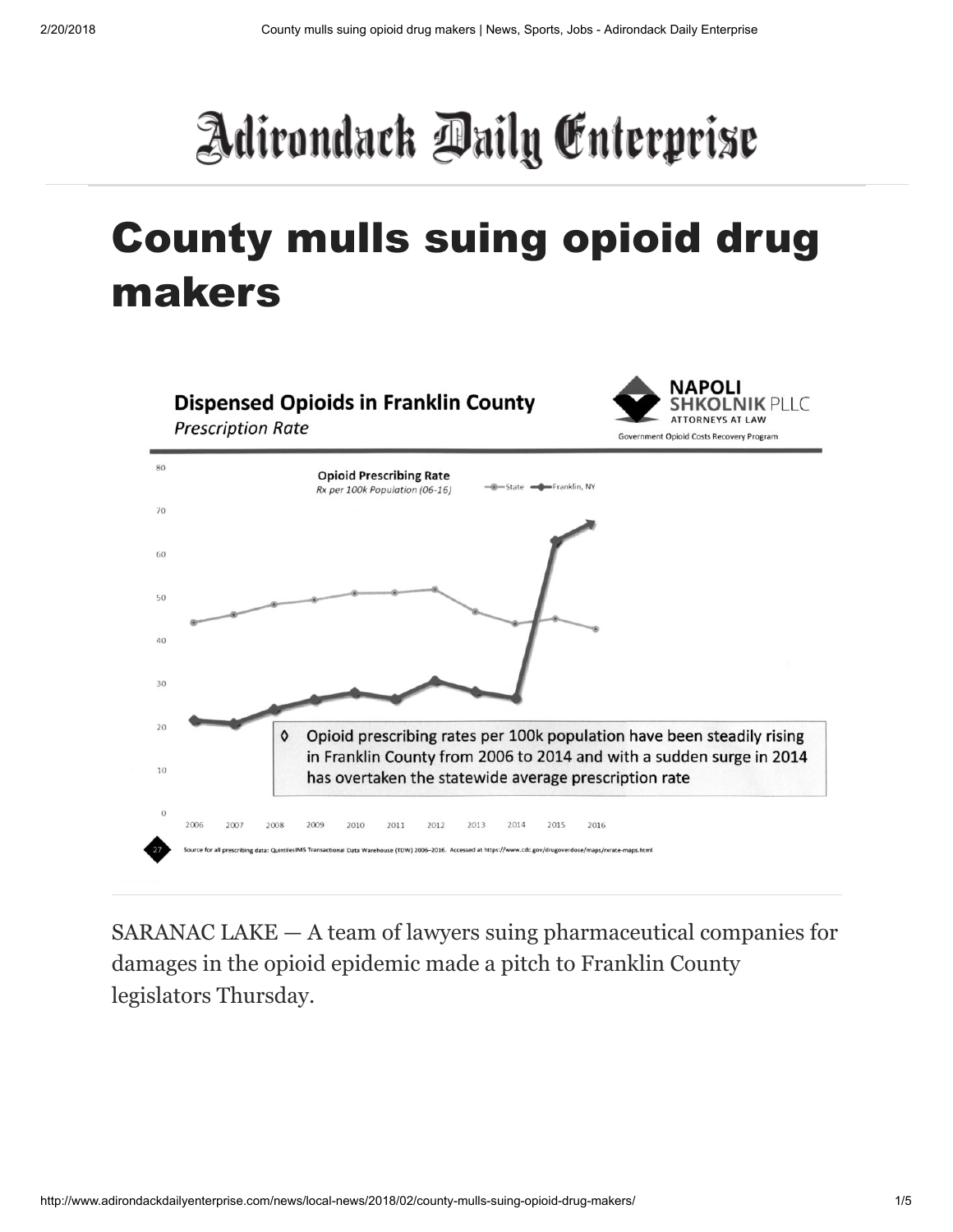## Adirondack Daily Enterprise

## County mulls suing opioid drug makers



SARANAC LAKE — A team of lawyers suing pharmaceutical companies for damages in the opioid epidemic made a pitch to Franklin County legislators Thursday.

http://www.adirondackdailyenterprise.com/news/local-news/2018/02/county-mulls-suing-opioid-drug-makers/ 1/5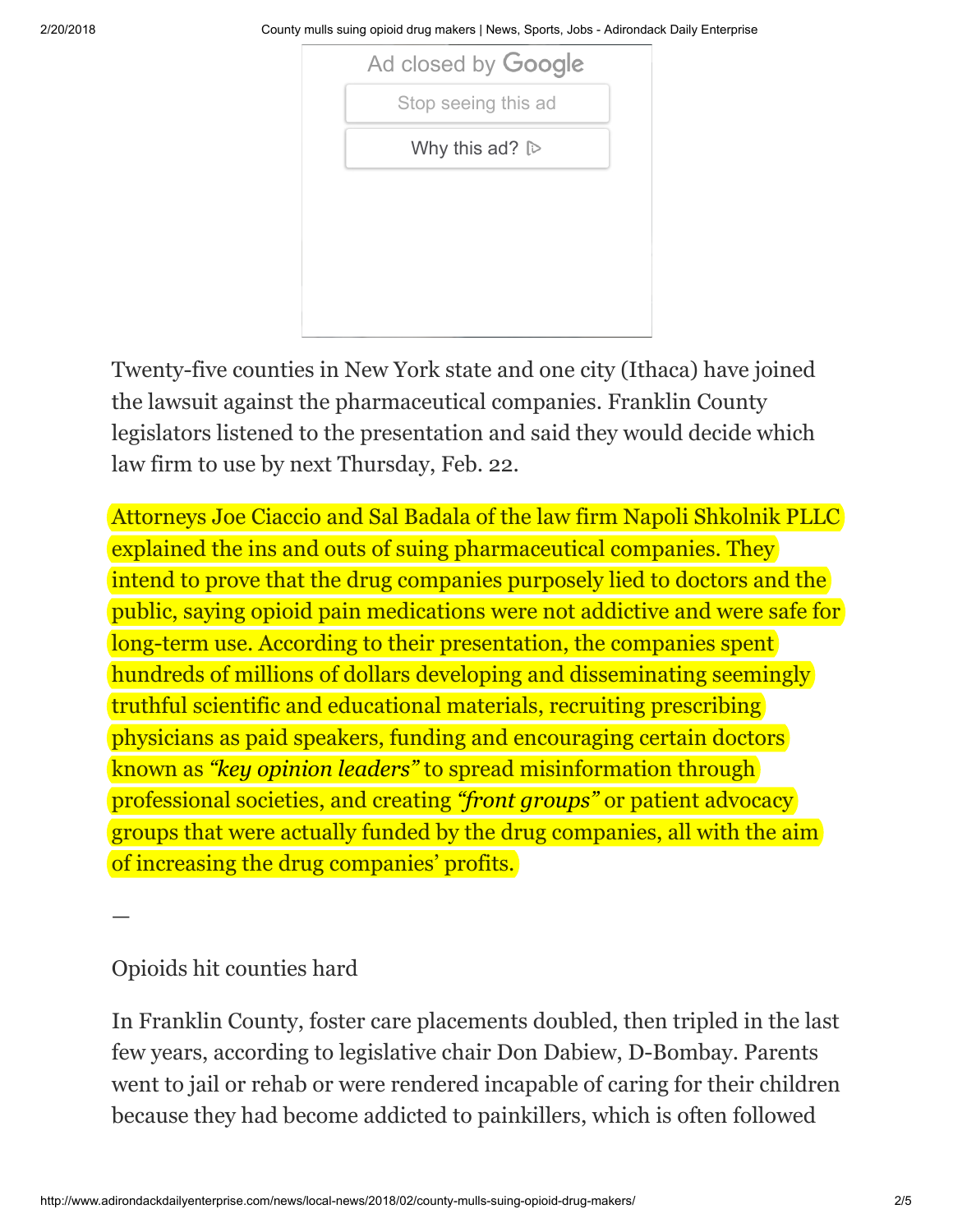2/20/2018 County mulls suing opioid drug makers | News, Sports, Jobs - Adirondack Daily Enterprise

| Ad closed by Google           |
|-------------------------------|
| Stop seeing this ad           |
| Why this ad? $\triangleright$ |

Twenty-five counties in New York state and one city (Ithaca) have joined the lawsuit against the pharmaceutical companies. Franklin County legislators listened to the presentation and said they would decide which law firm to use by next Thursday, Feb. 22.

Attorneys Joe Ciaccio and Sal Badala of the law firm Napoli Shkolnik PLLC explained the ins and outs of suing pharmaceutical companies. They intend to prove that the drug companies purposely lied to doctors and the public, saying opioid pain medications were not addictive and were safe for long-term use. According to their presentation, the companies spent hundreds of millions of dollars developing and disseminating seemingly truthful scientific and educational materials, recruiting prescribing physicians as paid speakers, funding and encouraging certain doctors known as *"key opinion leaders"* to spread misinformation through professional societies, and creating *"front groups"* or patient advocacy groups that were actually funded by the drug companies, all with the aim of increasing the drug companies' profits.

—

## Opioids hit counties hard

In Franklin County, foster care placements doubled, then tripled in the last few years, according to legislative chair Don Dabiew, D-Bombay. Parents went to jail or rehab or were rendered incapable of caring for their children because they had become addicted to painkillers, which is often followed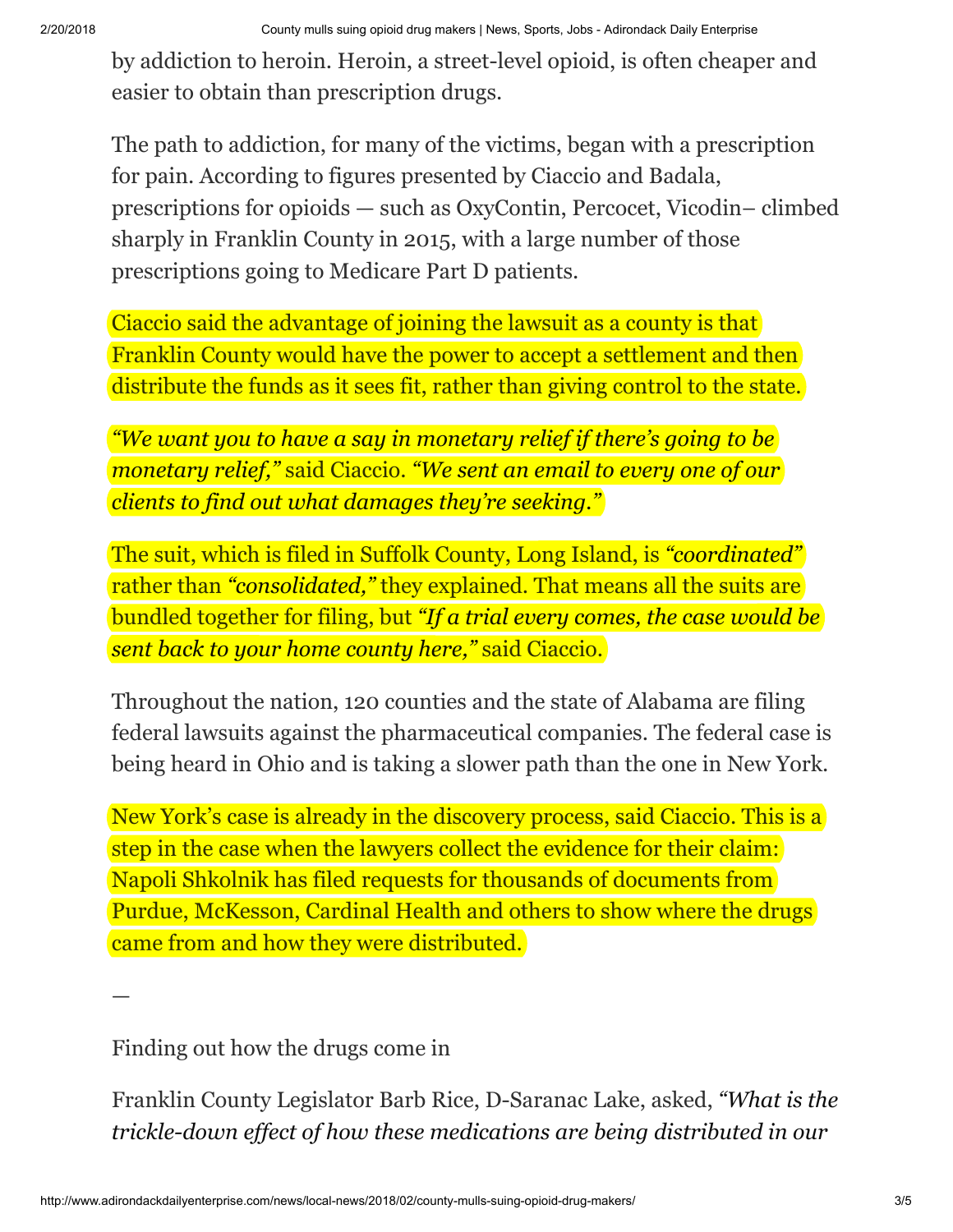by addiction to heroin. Heroin, a street-level opioid, is often cheaper and easier to obtain than prescription drugs.

The path to addiction, for many of the victims, began with a prescription for pain. According to figures presented by Ciaccio and Badala, prescriptions for opioids — such as OxyContin, Percocet, Vicodin– climbed sharply in Franklin County in 2015, with a large number of those prescriptions going to Medicare Part D patients.

Ciaccio said the advantage of joining the lawsuit as a county is that Franklin County would have the power to accept a settlement and then distribute the funds as it sees fit, rather than giving control to the state.

*"We want you to have a say in monetary relief if there's going to be monetary relief,"* said Ciaccio. *"We sent an email to every one of our clients to find out what damages they're seeking."*

The suit, which is filed in Suffolk County, Long Island, is *"coordinated"* rather than *"consolidated,"* they explained. That means all the suits are bundled together for filing, but *"If a trial every comes, the case would be sent back to your home county here,"* said Ciaccio.

Throughout the nation, 120 counties and the state of Alabama are filing federal lawsuits against the pharmaceutical companies. The federal case is being heard in Ohio and is taking a slower path than the one in New York.

New York's case is already in the discovery process, said Ciaccio. This is a step in the case when the lawyers collect the evidence for their claim: Napoli Shkolnik has filed requests for thousands of documents from Purdue, McKesson, Cardinal Health and others to show where the drugs came from and how they were distributed.

Finding out how the drugs come in

—

Franklin County Legislator Barb Rice, D-Saranac Lake, asked, *"What is the trickle-down ef ect of how these medications are being distributed in our*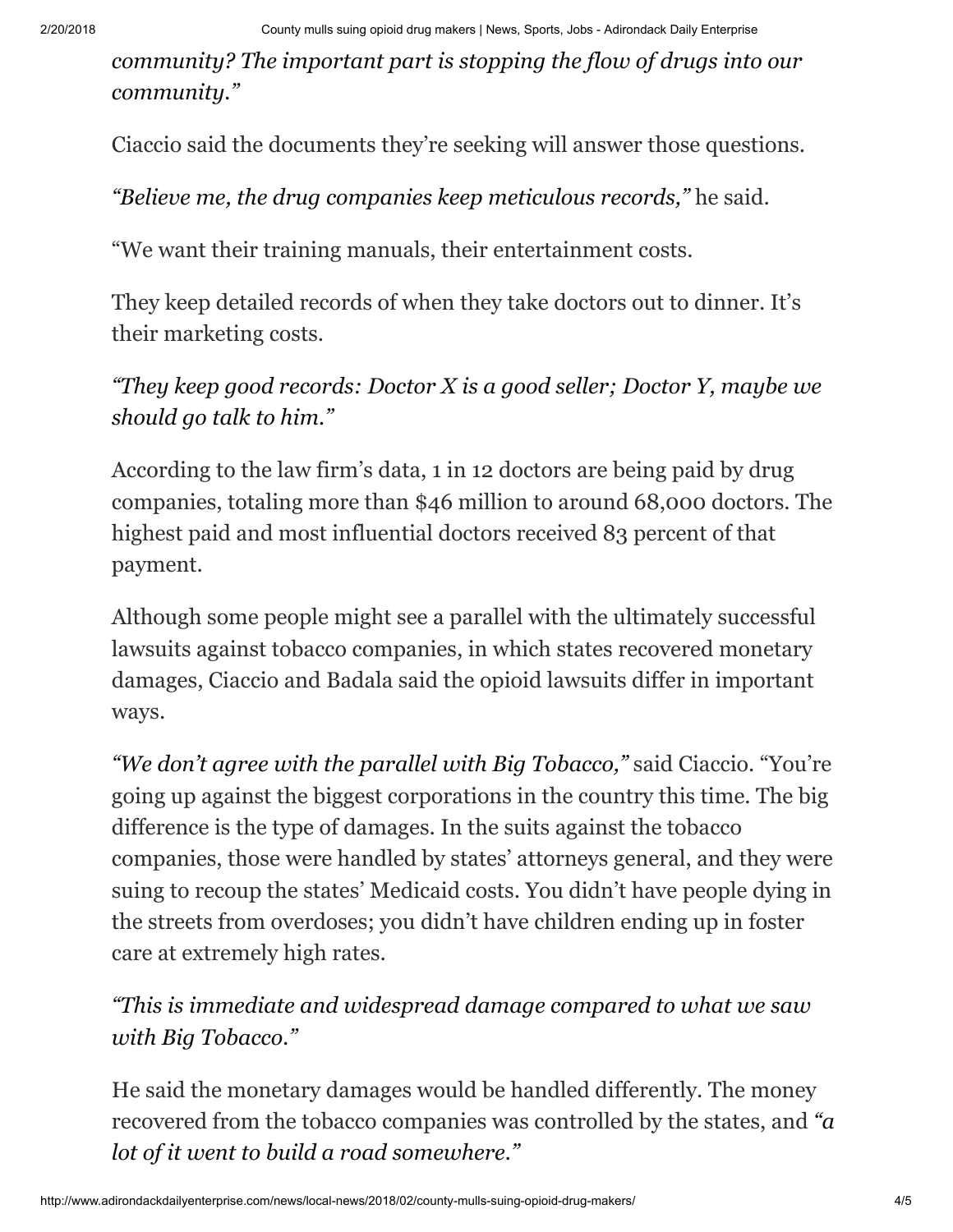*community? The important part is stopping the flow of drugs into our community."*

Ciaccio said the documents they're seeking will answer those questions.

*"Believe me, the drug companies keep meticulous records,"* he said.

"We want their training manuals, their entertainment costs.

They keep detailed records of when they take doctors out to dinner. It's their marketing costs.

*"They keep good records: Doctor X is a good seller; Doctor Y, maybe we should go talk to him."*

According to the law firm's data, 1 in 12 doctors are being paid by drug companies, totaling more than \$46 million to around 68,000 doctors. The highest paid and most influential doctors received 83 percent of that payment.

Although some people might see a parallel with the ultimately successful lawsuits against tobacco companies, in which states recovered monetary damages, Ciaccio and Badala said the opioid lawsuits differ in important ways.

*"We don't agree with the parallel with Big Tobacco,"* said Ciaccio. "You're going up against the biggest corporations in the country this time. The big difference is the type of damages. In the suits against the tobacco companies, those were handled by states' attorneys general, and they were suing to recoup the states' Medicaid costs. You didn't have people dying in the streets from overdoses; you didn't have children ending up in foster care at extremely high rates.

*"This is immediate and widespread damage compared to what we saw with Big Tobacco."*

He said the monetary damages would be handled differently. The money recovered from the tobacco companies was controlled by the states, and *"a lot of it went to build a road somewhere."*